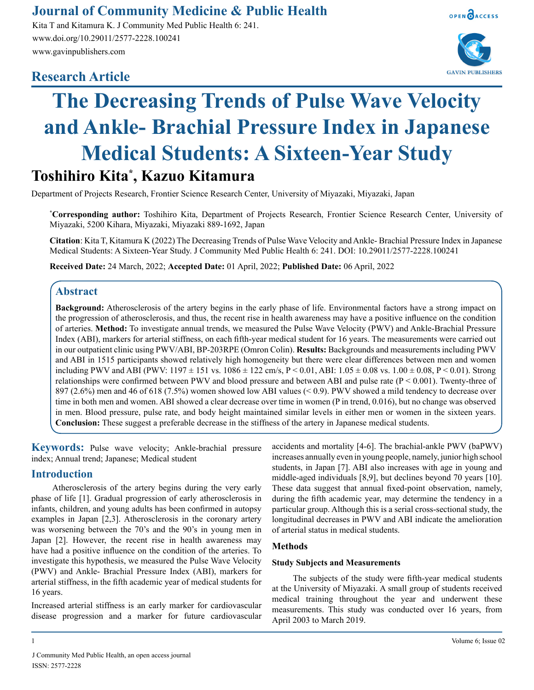# **Journal of Community Medicine & Public Health**

Kita T and Kitamura K. J Community Med Public Health 6: 241. www.doi.org/10.29011/2577-2228.100241 www.gavinpublishers.com

# **Research Article**





# **The Decreasing Trends of Pulse Wave Velocity and Ankle- Brachial Pressure Index in Japanese Medical Students: A Sixteen-Year Study**

# **Toshihiro Kita\* , Kazuo Kitamura**

Department of Projects Research, Frontier Science Research Center, University of Miyazaki, Miyazaki, Japan

**\* Corresponding author:** Toshihiro Kita, Department of Projects Research, Frontier Science Research Center, University of Miyazaki, 5200 Kihara, Miyazaki, Miyazaki 889-1692, Japan

**Citation**: Kita T, Kitamura K (2022) The Decreasing Trends of Pulse Wave Velocity and Ankle- Brachial Pressure Index in Japanese Medical Students: A Sixteen-Year Study. J Community Med Public Health 6: 241. DOI: 10.29011/2577-2228.100241

**Received Date:** 24 March, 2022; **Accepted Date:** 01 April, 2022; **Published Date:** 06 April, 2022

## **Abstract**

**Background:** Atherosclerosis of the artery begins in the early phase of life. Environmental factors have a strong impact on the progression of atherosclerosis, and thus, the recent rise in health awareness may have a positive influence on the condition of arteries. **Method:** To investigate annual trends, we measured the Pulse Wave Velocity (PWV) and Ankle-Brachial Pressure Index (ABI), markers for arterial stiffness, on each fifth-year medical student for 16 years. The measurements were carried out in our outpatient clinic using PWV/ABI, BP-203RPE (Omron Colin). **Results:** Backgrounds and measurements including PWV and ABI in 1515 participants showed relatively high homogeneity but there were clear differences between men and women including PWV and ABI (PWV: 1197  $\pm$  151 vs. 1086  $\pm$  122 cm/s, P < 0.01, ABI: 1.05  $\pm$  0.08 vs. 1.00  $\pm$  0.08, P < 0.01). Strong relationships were confirmed between PWV and blood pressure and between ABI and pulse rate  $(P < 0.001)$ . Twenty-three of 897 (2.6%) men and 46 of 618 (7.5%) women showed low ABI values (< 0.9). PWV showed a mild tendency to decrease over time in both men and women. ABI showed a clear decrease over time in women (P in trend, 0.016), but no change was observed in men. Blood pressure, pulse rate, and body height maintained similar levels in either men or women in the sixteen years. **Conclusion:** These suggest a preferable decrease in the stiffness of the artery in Japanese medical students.

**Keywords:** Pulse wave velocity; Ankle-brachial pressure index; Annual trend; Japanese; Medical student

## **Introduction**

Atherosclerosis of the artery begins during the very early phase of life [1]. Gradual progression of early atherosclerosis in infants, children, and young adults has been confirmed in autopsy examples in Japan [2,3]. Atherosclerosis in the coronary artery was worsening between the 70's and the 90's in young men in Japan [2]. However, the recent rise in health awareness may have had a positive influence on the condition of the arteries. To investigate this hypothesis, we measured the Pulse Wave Velocity (PWV) and Ankle- Brachial Pressure Index (ABI), markers for arterial stiffness, in the fifth academic year of medical students for 16 years.

Increased arterial stiffness is an early marker for cardiovascular disease progression and a marker for future cardiovascular accidents and mortality [4-6]. The brachial-ankle PWV (baPWV) increases annually even in young people, namely, junior high school students, in Japan [7]. ABI also increases with age in young and middle-aged individuals [8,9], but declines beyond 70 years [10]. These data suggest that annual fixed-point observation, namely, during the fifth academic year, may determine the tendency in a particular group. Although this is a serial cross-sectional study, the longitudinal decreases in PWV and ABI indicate the amelioration of arterial status in medical students.

#### **Methods**

#### **Study Subjects and Measurements**

The subjects of the study were fifth-year medical students at the University of Miyazaki. A small group of students received medical training throughout the year and underwent these measurements. This study was conducted over 16 years, from April 2003 to March 2019.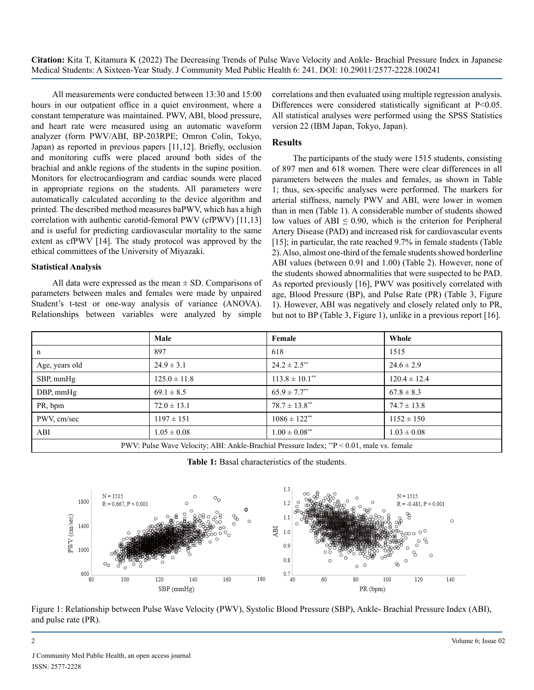**Citation:** Kita T, Kitamura K (2022) The Decreasing Trends of Pulse Wave Velocity and Ankle- Brachial Pressure Index in Japanese Medical Students: A Sixteen-Year Study. J Community Med Public Health 6: 241. DOI: 10.29011/2577-2228.100241

All measurements were conducted between 13:30 and 15:00 hours in our outpatient office in a quiet environment, where a constant temperature was maintained. PWV, ABI, blood pressure, and heart rate were measured using an automatic waveform analyzer (form PWV/ABI, BP-203RPE; Omron Colin, Tokyo, Japan) as reported in previous papers [11,12]. Briefly, occlusion and monitoring cuffs were placed around both sides of the brachial and ankle regions of the students in the supine position. Monitors for electrocardiogram and cardiac sounds were placed in appropriate regions on the students. All parameters were automatically calculated according to the device algorithm and printed. The described method measures baPWV, which has a high correlation with authentic carotid-femoral PWV (cfPWV) [11,13] and is useful for predicting cardiovascular mortality to the same extent as cfPWV [14]. The study protocol was approved by the ethical committees of the University of Miyazaki.

#### **Statistical Analysis**

All data were expressed as the mean  $\pm$  SD. Comparisons of parameters between males and females were made by unpaired Student's t-test or one-way analysis of variance (ANOVA). Relationships between variables were analyzed by simple correlations and then evaluated using multiple regression analysis. Differences were considered statistically significant at P<0.05. All statistical analyses were performed using the SPSS Statistics version 22 (IBM Japan, Tokyo, Japan).

#### **Results**

The participants of the study were 1515 students, consisting of 897 men and 618 women. There were clear differences in all parameters between the males and females, as shown in Table 1; thus, sex-specific analyses were performed. The markers for arterial stiffness, namely PWV and ABI, were lower in women than in men (Table 1). A considerable number of students showed low values of ABI  $\leq 0.90$ , which is the criterion for Peripheral Artery Disease (PAD) and increased risk for cardiovascular events [15]; in particular, the rate reached 9.7% in female students (Table 2). Also, almost one-third of the female students showed borderline ABI values (between 0.91 and 1.00) (Table 2). However, none of the students showed abnormalities that were suspected to be PAD. As reported previously [16], PWV was positively correlated with age, Blood Pressure (BP), and Pulse Rate (PR) (Table 3, Figure 1). However, ABI was negatively and closely related only to PR, but not to BP (Table 3, Figure 1), unlike in a previous report [16].

|                                                                                                 | Male             | Female                         | Whole            |  |
|-------------------------------------------------------------------------------------------------|------------------|--------------------------------|------------------|--|
| n                                                                                               | 897              | 618                            | 1515             |  |
| Age, years old                                                                                  | $24.9 \pm 3.1$   | $24.2 \pm 2.5$ <sup>**</sup>   | $24.6 \pm 2.9$   |  |
| SBP, mmHg                                                                                       | $125.0 \pm 11.8$ | $113.8 \pm 10.1$ <sup>**</sup> | $120.4 \pm 12.4$ |  |
| DBP, mmHg                                                                                       | $69.1 \pm 8.5$   | $65.9 \pm 7.7^{**}$            | $67.8 \pm 8.3$   |  |
| PR, bpm                                                                                         | $72.0 \pm 13.1$  | $78.7 \pm 13.8$ <sup>**</sup>  | $74.7 \pm 13.8$  |  |
| PWV, cm/sec                                                                                     | $1197 \pm 151$   | $1086 \pm 122$ <sup>**</sup>   | $1152 \pm 150$   |  |
| ABI                                                                                             | $1.05 \pm 0.08$  | $1.00 \pm 0.08$ **             | $1.03 \pm 0.08$  |  |
| PWV: Pulse Wave Velocity: ABI: Ankle-Brachial Pressure Index: **P $\leq 0.01$ , male vs. female |                  |                                |                  |  |

**Table 1:** Basal characteristics of the students.



Figure 1: Relationship between Pulse Wave Velocity (PWV), Systolic Blood Pressure (SBP), Ankle- Brachial Pressure Index (ABI), and pulse rate (PR).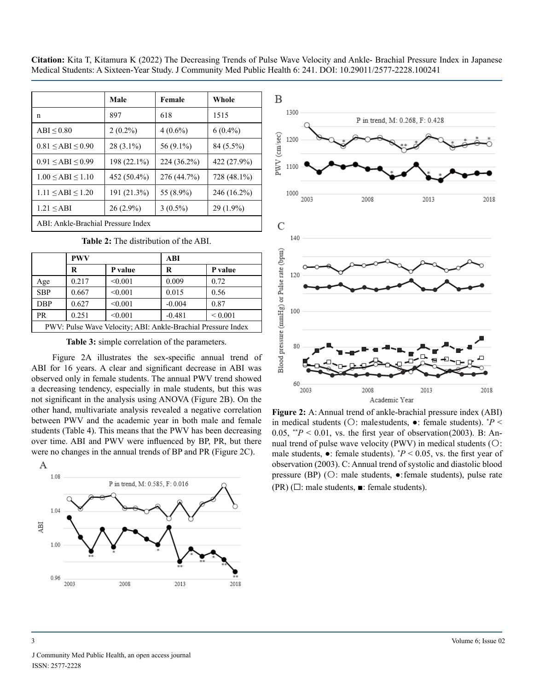**Citation:** Kita T, Kitamura K (2022) The Decreasing Trends of Pulse Wave Velocity and Ankle- Brachial Pressure Index in Japanese Medical Students: A Sixteen-Year Study. J Community Med Public Health 6: 241. DOI: 10.29011/2577-2228.100241

|                                    | Male          | Female      | Whole       |  |
|------------------------------------|---------------|-------------|-------------|--|
| n                                  | 897           | 618         | 1515        |  |
| $ABI \leq 0.80$                    | $2(0.2\%)$    | $4(0.6\%)$  | $6(0.4\%)$  |  |
| $0.81 \leq ABI \leq 0.90$          | $28(3.1\%)$   | 56 (9.1%)   | 84 (5.5%)   |  |
| $0.91 \leq ABI \leq 0.99$          | $198(22.1\%)$ | 224 (36.2%) | 422 (27.9%) |  |
| $1.00 \leq ABI \leq 1.10$          | 452 (50.4%)   | 276 (44.7%) | 728 (48.1%) |  |
| $1.11 \leq ABI \leq 1.20$          | 191 (21.3%)   | 55 (8.9%)   | 246 (16.2%) |  |
| $1.21 \leq ABI$                    | $26(2.9\%)$   | $3(0.5\%)$  | $29(1.9\%)$ |  |
| ABI: Ankle-Brachial Pressure Index |               |             |             |  |

| <b>Table 2:</b> The distribution of the ABI. |  |
|----------------------------------------------|--|
|----------------------------------------------|--|

|                                                              | <b>PWV</b> |         | ABI      |             |  |
|--------------------------------------------------------------|------------|---------|----------|-------------|--|
|                                                              | R          | P value | R        | P value     |  |
| Age                                                          | 0.217      | < 0.001 | 0.009    | 0.72        |  |
| <b>SBP</b>                                                   | 0.667      | < 0.001 | 0.015    | 0.56        |  |
| <b>DBP</b>                                                   | 0.627      | < 0.001 | $-0.004$ | 0.87        |  |
| <b>PR</b>                                                    | 0.251      | < 0.001 | $-0.481$ | ${}< 0.001$ |  |
| PWV: Pulse Wave Velocity; ABI: Ankle-Brachial Pressure Index |            |         |          |             |  |

**Table 3:** simple correlation of the parameters.

Figure 2A illustrates the sex-specific annual trend of ABI for 16 years. A clear and significant decrease in ABI was observed only in female students. The annual PWV trend showed a decreasing tendency, especially in male students, but this was not significant in the analysis using ANOVA (Figure 2B). On the other hand, multivariate analysis revealed a negative correlation between PWV and the academic year in both male and female students (Table 4). This means that the PWV has been decreasing over time. ABI and PWV were influenced by BP, PR, but there were no changes in the annual trends of BP and PR (Figure 2C).





**Figure 2:** A: Annual trend of ankle-brachial pressure index (ABI) in medical students ( $\bigcirc$ : malestudents,  $\bullet$ : female students).  $P \leq$ 0.05,  $*^*P < 0.01$ , vs. the first year of observation (2003). B: Annual trend of pulse wave velocity (PWV) in medical students (〇: male students,  $\bullet$ : female students).  $P < 0.05$ , vs. the first year of observation (2003). C: Annual trend of systolic and diastolic blood pressure (BP) (〇: male students, ●: female students), pulse rate  $(PR)$  ( $\square$ : male students,  $\blacksquare$ : female students).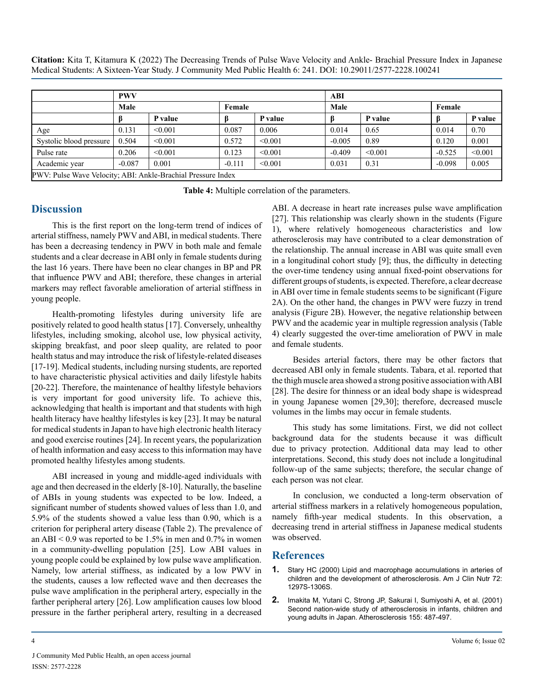|                                                              | <b>PWV</b> |         |          | ABI     |          |         |          |         |
|--------------------------------------------------------------|------------|---------|----------|---------|----------|---------|----------|---------|
|                                                              | Male       |         | Female   |         | Male     |         | Female   |         |
|                                                              |            | P value |          | P value |          | P value |          | P value |
| Age                                                          | 0.131      | < 0.001 | 0.087    | 0.006   | 0.014    | 0.65    | 0.014    | 0.70    |
| Systolic blood pressure                                      | 0.504      | < 0.001 | 0.572    | < 0.001 | $-0.005$ | 0.89    | 0.120    | 0.001   |
| Pulse rate                                                   | 0.206      | < 0.001 | 0.123    | < 0.001 | $-0.409$ | < 0.001 | $-0.525$ | < 0.001 |
| Academic year                                                | $-0.087$   | 0.001   | $-0.111$ | < 0.001 | 0.031    | 0.31    | $-0.098$ | 0.005   |
| PWV: Pulse Wave Velocity; ABI: Ankle-Brachial Pressure Index |            |         |          |         |          |         |          |         |

**Table 4:** Multiple correlation of the parameters.

## **Discussion**

This is the first report on the long-term trend of indices of arterial stiffness, namely PWV and ABI, in medical students. There has been a decreasing tendency in PWV in both male and female students and a clear decrease in ABI only in female students during the last 16 years. There have been no clear changes in BP and PR that influence PWV and ABI; therefore, these changes in arterial markers may reflect favorable amelioration of arterial stiffness in young people.

Health-promoting lifestyles during university life are positively related to good health status [17]. Conversely, unhealthy lifestyles, including smoking, alcohol use, low physical activity, skipping breakfast, and poor sleep quality, are related to poor health status and may introduce the risk of lifestyle-related diseases [17-19]. Medical students, including nursing students, are reported to have characteristic physical activities and daily lifestyle habits [20-22]. Therefore, the maintenance of healthy lifestyle behaviors is very important for good university life. To achieve this, acknowledging that health is important and that students with high health literacy have healthy lifestyles is key [23]. It may be natural for medical students in Japan to have high electronic health literacy and good exercise routines [24]. In recent years, the popularization of health information and easy access to this information may have promoted healthy lifestyles among students.

ABI increased in young and middle-aged individuals with age and then decreased in the elderly [8-10]. Naturally, the baseline of ABIs in young students was expected to be low. Indeed, a significant number of students showed values of less than 1.0, and 5.9% of the students showed a value less than 0.90, which is a criterion for peripheral artery disease (Table 2). The prevalence of an ABI  $\leq$  0.9 was reported to be 1.5% in men and 0.7% in women in a community-dwelling population [25]. Low ABI values in young people could be explained by low pulse wave amplification. Namely, low arterial stiffness, as indicated by a low PWV in the students, causes a low reflected wave and then decreases the pulse wave amplification in the peripheral artery, especially in the farther peripheral artery [26]. Low amplification causes low blood pressure in the farther peripheral artery, resulting in a decreased

ABI. A decrease in heart rate increases pulse wave amplification [27]. This relationship was clearly shown in the students (Figure 1), where relatively homogeneous characteristics and low atherosclerosis may have contributed to a clear demonstration of the relationship. The annual increase in ABI was quite small even in a longitudinal cohort study [9]; thus, the difficulty in detecting the over-time tendency using annual fixed-point observations for different groups of students, is expected. Therefore, a clear decrease in ABI over time in female students seems to be significant (Figure 2A). On the other hand, the changes in PWV were fuzzy in trend analysis (Figure 2B). However, the negative relationship between PWV and the academic year in multiple regression analysis (Table 4) clearly suggested the over-time amelioration of PWV in male and female students.

Besides arterial factors, there may be other factors that decreased ABI only in female students. Tabara, et al. reported that the thigh muscle area showed a strong positive association with ABI [28]. The desire for thinness or an ideal body shape is widespread in young Japanese women [29,30]; therefore, decreased muscle volumes in the limbs may occur in female students.

This study has some limitations. First, we did not collect background data for the students because it was difficult due to privacy protection. Additional data may lead to other interpretations. Second, this study does not include a longitudinal follow-up of the same subjects; therefore, the secular change of each person was not clear.

In conclusion, we conducted a long-term observation of arterial stiffness markers in a relatively homogeneous population, namely fifth-year medical students. In this observation, a decreasing trend in arterial stiffness in Japanese medical students was observed.

## **References**

- **1.** [Stary HC \(2000\) Lipid and macrophage accumulations in arteries of](https://pubmed.ncbi.nlm.nih.gov/11063472/)  [children and the development of atherosclerosis. Am J Clin Nutr 72:](https://pubmed.ncbi.nlm.nih.gov/11063472/)  [1297S-1306S.](https://pubmed.ncbi.nlm.nih.gov/11063472/)
- **2.** [Imakita M, Yutani C, Strong JP, Sakurai I, Sumiyoshi A, et al. \(2001\)](https://pubmed.ncbi.nlm.nih.gov/11254921/)  [Second nation-wide study of atherosclerosis in infants, children and](https://pubmed.ncbi.nlm.nih.gov/11254921/)  [young adults in Japan. Atherosclerosis 155: 487-497.](https://pubmed.ncbi.nlm.nih.gov/11254921/)